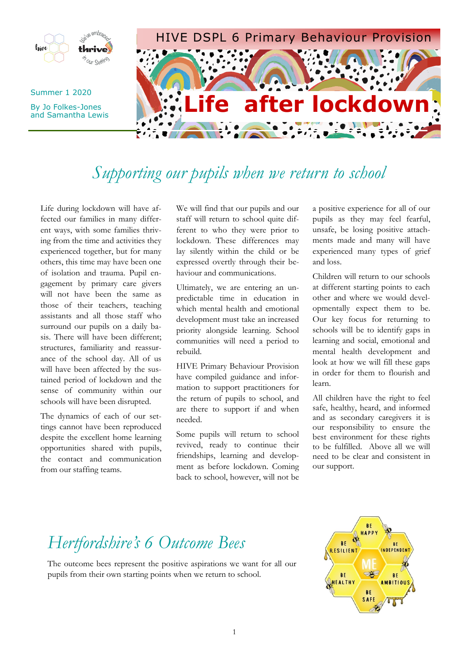

# *Supporting our pupils when we return to school*

Life during lockdown will have affected our families in many different ways, with some families thriving from the time and activities they experienced together, but for many others, this time may have been one of isolation and trauma. Pupil engagement by primary care givers will not have been the same as those of their teachers, teaching assistants and all those staff who surround our pupils on a daily basis. There will have been different; structures, familiarity and reassurance of the school day. All of us will have been affected by the sustained period of lockdown and the sense of community within our schools will have been disrupted.

The dynamics of each of our settings cannot have been reproduced despite the excellent home learning opportunities shared with pupils, the contact and communication from our staffing teams.

We will find that our pupils and our staff will return to school quite different to who they were prior to lockdown. These differences may lay silently within the child or be expressed overtly through their behaviour and communications.

Ultimately, we are entering an unpredictable time in education in which mental health and emotional development must take an increased priority alongside learning. School communities will need a period to rebuild.

HIVE Primary Behaviour Provision have compiled guidance and information to support practitioners for the return of pupils to school, and are there to support if and when needed.

Some pupils will return to school revived, ready to continue their friendships, learning and development as before lockdown. Coming back to school, however, will not be

a positive experience for all of our pupils as they may feel fearful, unsafe, be losing positive attachments made and many will have experienced many types of grief and loss.

Children will return to our schools at different starting points to each other and where we would developmentally expect them to be. Our key focus for returning to schools will be to identify gaps in learning and social, emotional and mental health development and look at how we will fill these gaps in order for them to flourish and learn.

All children have the right to feel safe, healthy, heard, and informed and as secondary caregivers it is our responsibility to ensure the best environment for these rights to be fulfilled. Above all we will need to be clear and consistent in our support.

## *Hertfordshire's 6 Outcome Bees*

The outcome bees represent the positive aspirations we want for all our pupils from their own starting points when we return to school.

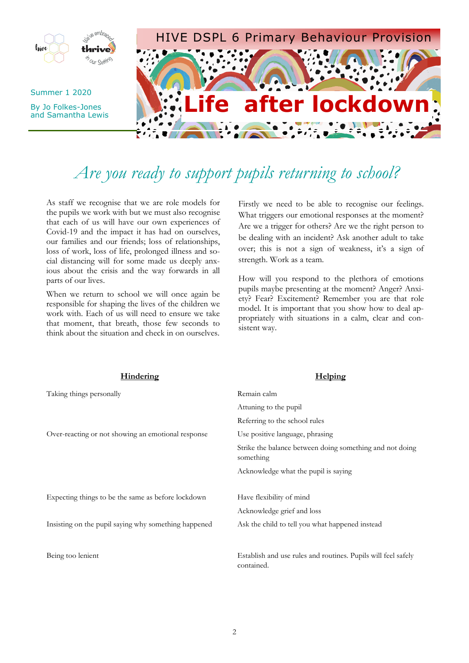

# *Are you ready to support pupils returning to school?*

As staff we recognise that we are role models for the pupils we work with but we must also recognise that each of us will have our own experiences of Covid-19 and the impact it has had on ourselves, our families and our friends; loss of relationships, loss of work, loss of life, prolonged illness and social distancing will for some made us deeply anxious about the crisis and the way forwards in all parts of our lives.

When we return to school we will once again be responsible for shaping the lives of the children we work with. Each of us will need to ensure we take that moment, that breath, those few seconds to think about the situation and check in on ourselves.

Firstly we need to be able to recognise our feelings. What triggers our emotional responses at the moment? Are we a trigger for others? Are we the right person to be dealing with an incident? Ask another adult to take over; this is not a sign of weakness, it's a sign of strength. Work as a team.

How will you respond to the plethora of emotions pupils maybe presenting at the moment? Anger? Anxiety? Fear? Excitement? Remember you are that role model. It is important that you show how to deal appropriately with situations in a calm, clear and consistent way.

| <b>Hindering</b>                                     | <b>Helping</b>                                                              |
|------------------------------------------------------|-----------------------------------------------------------------------------|
| Taking things personally                             | Remain calm                                                                 |
|                                                      | Attuning to the pupil                                                       |
|                                                      | Referring to the school rules                                               |
| Over-reacting or not showing an emotional response   | Use positive language, phrasing                                             |
|                                                      | Strike the balance between doing something and not doing<br>something       |
|                                                      | Acknowledge what the pupil is saying                                        |
|                                                      |                                                                             |
| Expecting things to be the same as before lockdown   | Have flexibility of mind                                                    |
|                                                      | Acknowledge grief and loss                                                  |
| Insisting on the pupil saying why something happened | Ask the child to tell you what happened instead                             |
|                                                      |                                                                             |
| Being too lenient                                    | Establish and use rules and routines. Pupils will feel safely<br>contained. |
|                                                      |                                                                             |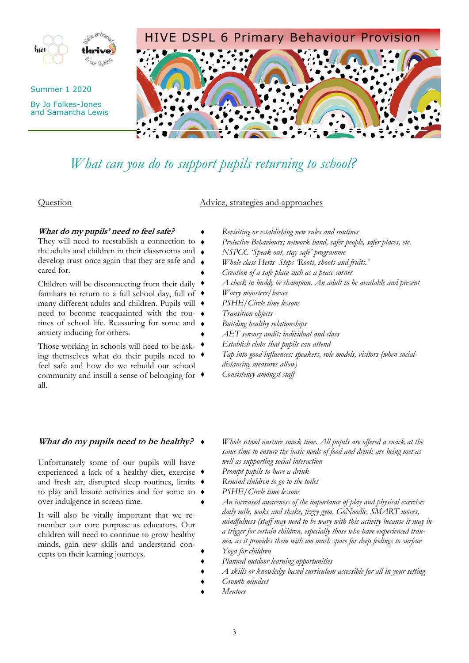

## *What can you do to support pupils returning to school?*

### Question Advice, strategies and approaches

### **What do my pupils' need to feel safe?**

They will need to reestablish a connection to  $\rightarrow$ the adults and children in their classrooms and develop trust once again that they are safe and cared for.

Children will be disconnecting from their daily familiars to return to a full school day, full of  $\triangleleft$ many different adults and children. Pupils will need to become reacquainted with the routines of school life. Reassuring for some and  $\bullet$ anxiety inducing for others.

Those working in schools will need to be asking themselves what do their pupils need to  $\triangleleft$ feel safe and how do we rebuild our school community and instill a sense of belonging for all.

## **What do my pupils need to be healthy?**

Unfortunately some of our pupils will have experienced a lack of a healthy diet, exercise and fresh air, disrupted sleep routines, limits  $\bullet$ to play and leisure activities and for some an over indulgence in screen time.

It will also be vitally important that we remember our core purpose as educators. Our children will need to continue to grow healthy minds, gain new skills and understand concepts on their learning journeys.

- *Revisiting or establishing new rules and routines*
- *Protective Behaviours; network hand, safer people, safer places, etc.*
- *NSPCC 'Speak out, stay safe' programme*
- *Whole class Herts Steps 'Roots, shoots and fruits.'*
- *Creation of a safe place such as a peace corner*
- *A check in buddy or champion. An adult to be available and present*
- *Worry monsters/boxes*
- *PSHE/Circle time lessons*
- *Transition objects*
	- *Building healthy relationships*
	- *AET sensory audit: individual and class*
- *Establish clubs that pupils can attend*
- *Tap into good influences: speakers, role models, visitors (when socialdistancing measures allow)*
- *Consistency amongst staff*
- *Whole school nurture snack time. All pupils are offered a snack at the same time to ensure the basic needs of food and drink are being met as well as supporting social interaction*
- *Prompt pupils to have a drink*
- *Remind children to go to the toilet*
- *PSHE/Circle time lessons*
- *An increased awareness of the importance of play and physical exercise: daily mile, wake and shake, fizzy gym, GoNoodle, SMART moves, mindfulness (staff may need to be wary with this activity because it may be a trigger for certain children, especially those who have experienced trauma, as it provides them with too much space for deep feelings to surface Yoga for children*
- *Planned outdoor learning opportunities*
- *A skills or knowledge based curriculum accessible for all in your setting*
- *Growth mindset*
- *Mentors*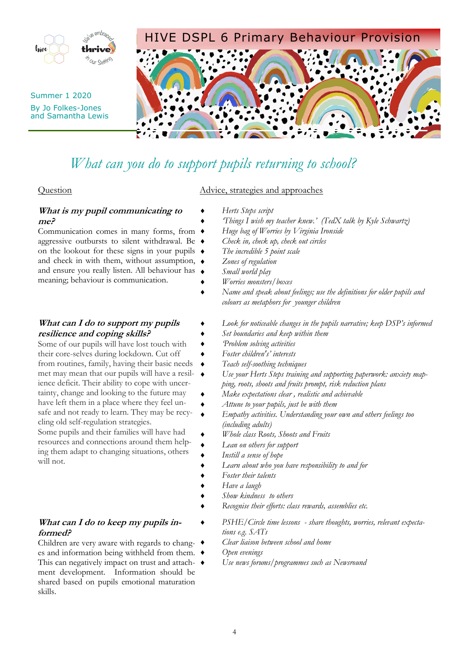

## *What can you do to support pupils returning to school?*

## **What is my pupil communicating to me?**

Communication comes in many forms, from aggressive outbursts to silent withdrawal. Be on the lookout for these signs in your pupils  $\triangleleft$ and check in with them, without assumption,  $\bullet$ and ensure you really listen. All behaviour has meaning; behaviour is communication.

## **What can I do to support my pupils resilience and coping skills?**

Some of our pupils will have lost touch with their core-selves during lockdown. Cut off from routines, family, having their basic needs met may mean that our pupils will have a resilience deficit. Their ability to cope with uncertainty, change and looking to the future may have left them in a place where they feel unsafe and not ready to learn. They may be recycling old self-regulation strategies.

Some pupils and their families will have had resources and connections around them helping them adapt to changing situations, others will not.

## **What can I do to keep my pupils informed?**

Children are very aware with regards to changes and information being withheld from them. This can negatively impact on trust and attach-  $\bullet$ ment development. Information should be shared based on pupils emotional maturation skills.

### Question Advice, strategies and approaches

- *Herts Steps script*
- *'Things I wish my teacher knew.' (TedX talk by Kyle Schwartz)*
- *Huge bag of Worries by Virginia Ironside*
- *Check in, check up, check out circles*
- *The incredible 5 point scale*
- *Zones of regulation*
- *Small world play*
- *Worries monsters/boxes*
- *Name and speak about feelings; use the definitions for older pupils and colours as metaphors for younger children*
	- *Look for noticeable changes in the pupils narrative; keep DSP's informed*
- *Set boundaries and keep within them*
- *'Problem solving activities*
- *Foster children's' interests*
- *Teach self-soothing techniques*
- *Use your Herts Steps training and supporting paperwork: anxiety mapping, roots, shoots and fruits prompt, risk reduction plans*
	- *Make expectations clear , realistic and achievable*
	- *Attune to your pupils, just be with them*
- *Empathy activities. Understanding your own and others feelings too (including adults)*
- *Whole class Roots, Shoots and Fruits*
- *Lean on others for support*
- *Instill a sense of hope*
	- *Learn about who you have responsibility to and for*
	- *Foster their talents*
- *Have a laugh*
- *Show kindness to others*
- *Recognise their efforts: class rewards, assemblies etc.*
	- *PSHE/Circle time lessons - share thoughts, worries, relevant expectations e.g. SATs*
	- *Clear liaison between school and home*
- *Open evenings*
	- *Use news forums/programmes such as Newsround*